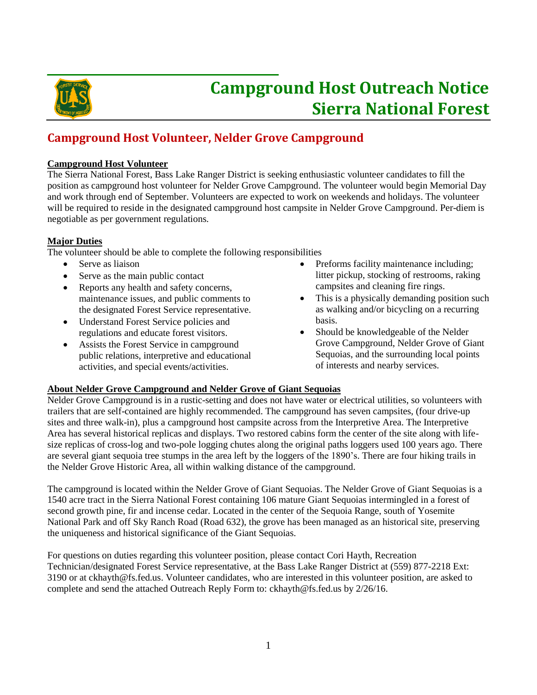

# **Campground Host Outreach Notice Sierra National Forest**

## **Campground Host Volunteer, Nelder Grove Campground**

### **Campground Host Volunteer**

The Sierra National Forest, Bass Lake Ranger District is seeking enthusiastic volunteer candidates to fill the position as campground host volunteer for Nelder Grove Campground. The volunteer would begin Memorial Day and work through end of September. Volunteers are expected to work on weekends and holidays. The volunteer will be required to reside in the designated campground host campsite in Nelder Grove Campground. Per-diem is negotiable as per government regulations.

#### **Major Duties**

The volunteer should be able to complete the following responsibilities

- Serve as liaison
- Serve as the main public contact
- Reports any health and safety concerns, maintenance issues, and public comments to the designated Forest Service representative.
- Understand Forest Service policies and regulations and educate forest visitors.
- Assists the Forest Service in campground public relations, interpretive and educational activities, and special events/activities.
- Preforms facility maintenance including; litter pickup, stocking of restrooms, raking campsites and cleaning fire rings.
- This is a physically demanding position such as walking and/or bicycling on a recurring basis.
- Should be knowledgeable of the Nelder Grove Campground, Nelder Grove of Giant Sequoias, and the surrounding local points of interests and nearby services.

### **About Nelder Grove Campground and Nelder Grove of Giant Sequoias**

Nelder Grove Campground is in a rustic-setting and does not have water or electrical utilities, so volunteers with trailers that are self-contained are highly recommended. The campground has seven campsites, (four drive-up sites and three walk-in), plus a campground host campsite across from the Interpretive Area. The Interpretive Area has several historical replicas and displays. Two restored cabins form the center of the site along with lifesize replicas of cross-log and two-pole logging chutes along the original paths loggers used 100 years ago. There are several giant sequoia tree stumps in the area left by the loggers of the 1890's. There are four hiking trails in the Nelder Grove Historic Area, all within walking distance of the campground.

The campground is located within the Nelder Grove of Giant Sequoias. The Nelder Grove of Giant Sequoias is a 1540 acre tract in the Sierra National Forest containing 106 mature Giant Sequoias intermingled in a forest of second growth pine, fir and incense cedar. Located in the center of the Sequoia Range, south of Yosemite National Park and off Sky Ranch Road (Road 632), the grove has been managed as an historical site, preserving the uniqueness and historical significance of the Giant Sequoias.

For questions on duties regarding this volunteer position, please contact Cori Hayth, Recreation Technician/designated Forest Service representative, at the Bass Lake Ranger District at (559) 877-2218 Ext: 3190 or at ckhayth@fs.fed.us. Volunteer candidates, who are interested in this volunteer position, are asked to complete and send the attached Outreach Reply Form to: ckhayth@fs.fed.us by 2/26/16.